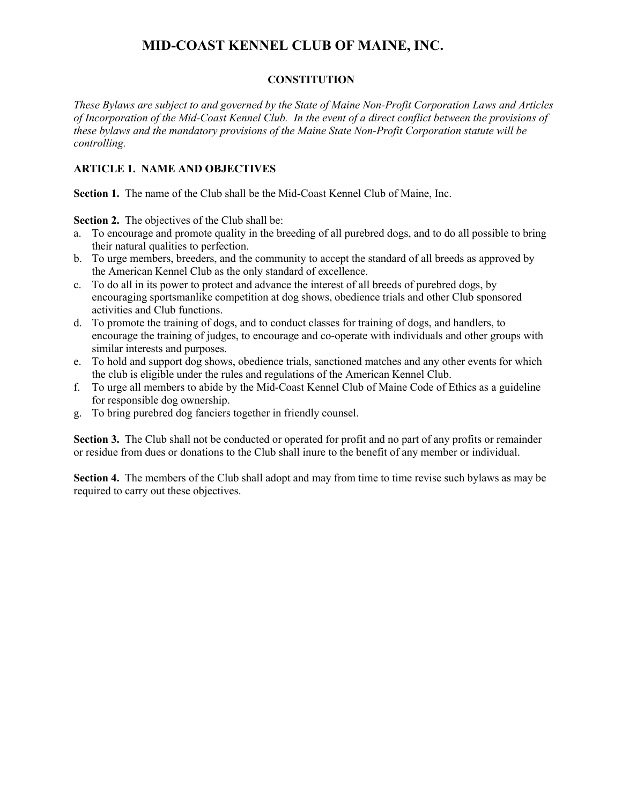### **CONSTITUTION**

*These Bylaws are subject to and governed by the State of Maine Non-Profit Corporation Laws and Articles of Incorporation of the Mid-Coast Kennel Club. In the event of a direct conflict between the provisions of these bylaws and the mandatory provisions of the Maine State Non-Profit Corporation statute will be controlling.* 

# **ARTICLE 1. NAME AND OBJECTIVES**

**Section 1.** The name of the Club shall be the Mid-Coast Kennel Club of Maine, Inc.

**Section 2.** The objectives of the Club shall be:

- a. To encourage and promote quality in the breeding of all purebred dogs, and to do all possible to bring their natural qualities to perfection.
- b. To urge members, breeders, and the community to accept the standard of all breeds as approved by the American Kennel Club as the only standard of excellence.
- c. To do all in its power to protect and advance the interest of all breeds of purebred dogs, by encouraging sportsmanlike competition at dog shows, obedience trials and other Club sponsored activities and Club functions.
- d. To promote the training of dogs, and to conduct classes for training of dogs, and handlers, to encourage the training of judges, to encourage and co-operate with individuals and other groups with similar interests and purposes.
- e. To hold and support dog shows, obedience trials, sanctioned matches and any other events for which the club is eligible under the rules and regulations of the American Kennel Club.
- f. To urge all members to abide by the Mid-Coast Kennel Club of Maine Code of Ethics as a guideline for responsible dog ownership.
- g. To bring purebred dog fanciers together in friendly counsel.

**Section 3.** The Club shall not be conducted or operated for profit and no part of any profits or remainder or residue from dues or donations to the Club shall inure to the benefit of any member or individual.

**Section 4.** The members of the Club shall adopt and may from time to time revise such bylaws as may be required to carry out these objectives.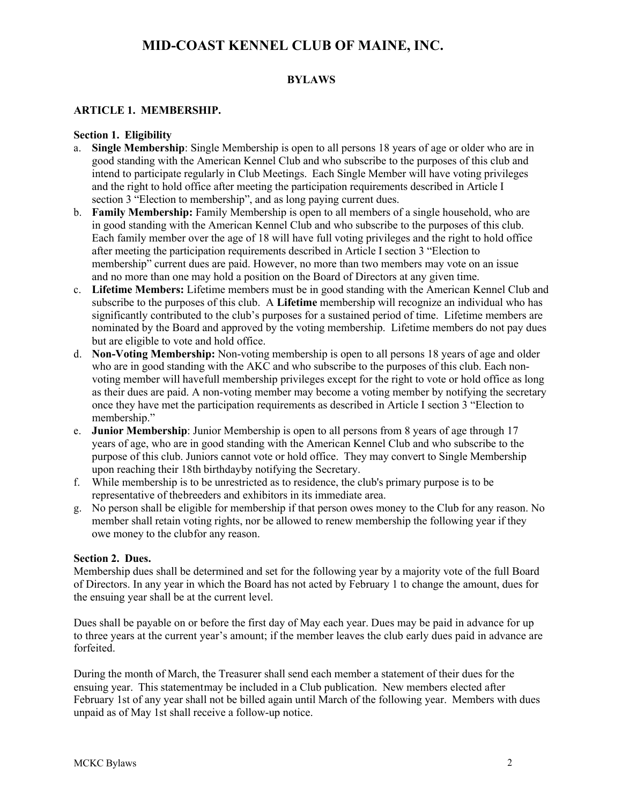### **BYLAWS**

## **ARTICLE 1. MEMBERSHIP.**

#### **Section 1. Eligibility**

- a. **Single Membership**: Single Membership is open to all persons 18 years of age or older who are in good standing with the American Kennel Club and who subscribe to the purposes of this club and intend to participate regularly in Club Meetings. Each Single Member will have voting privileges and the right to hold office after meeting the participation requirements described in Article I section 3 "Election to membership", and as long paying current dues.
- b. **Family Membership:** Family Membership is open to all members of a single household, who are in good standing with the American Kennel Club and who subscribe to the purposes of this club. Each family member over the age of 18 will have full voting privileges and the right to hold office after meeting the participation requirements described in Article I section 3 "Election to membership" current dues are paid. However, no more than two members may vote on an issue and no more than one may hold a position on the Board of Directors at any given time.
- c. **Lifetime Members:** Lifetime members must be in good standing with the American Kennel Club and subscribe to the purposes of this club. A **Lifetime** membership will recognize an individual who has significantly contributed to the club's purposes for a sustained period of time. Lifetime members are nominated by the Board and approved by the voting membership. Lifetime members do not pay dues but are eligible to vote and hold office.
- d. **Non-Voting Membership:** Non-voting membership is open to all persons 18 years of age and older who are in good standing with the AKC and who subscribe to the purposes of this club. Each nonvoting member will havefull membership privileges except for the right to vote or hold office as long as their dues are paid. A non-voting member may become a voting member by notifying the secretary once they have met the participation requirements as described in Article I section 3 "Election to membership."
- e. **Junior Membership**: Junior Membership is open to all persons from 8 years of age through 17 years of age, who are in good standing with the American Kennel Club and who subscribe to the purpose of this club. Juniors cannot vote or hold office. They may convert to Single Membership upon reaching their 18th birthdayby notifying the Secretary.
- f. While membership is to be unrestricted as to residence, the club's primary purpose is to be representative of thebreeders and exhibitors in its immediate area.
- g. No person shall be eligible for membership if that person owes money to the Club for any reason. No member shall retain voting rights, nor be allowed to renew membership the following year if they owe money to the clubfor any reason.

#### **Section 2. Dues.**

Membership dues shall be determined and set for the following year by a majority vote of the full Board of Directors. In any year in which the Board has not acted by February 1 to change the amount, dues for the ensuing year shall be at the current level.

Dues shall be payable on or before the first day of May each year. Dues may be paid in advance for up to three years at the current year's amount; if the member leaves the club early dues paid in advance are forfeited.

During the month of March, the Treasurer shall send each member a statement of their dues for the ensuing year. This statementmay be included in a Club publication. New members elected after February 1st of any year shall not be billed again until March of the following year. Members with dues unpaid as of May 1st shall receive a follow-up notice.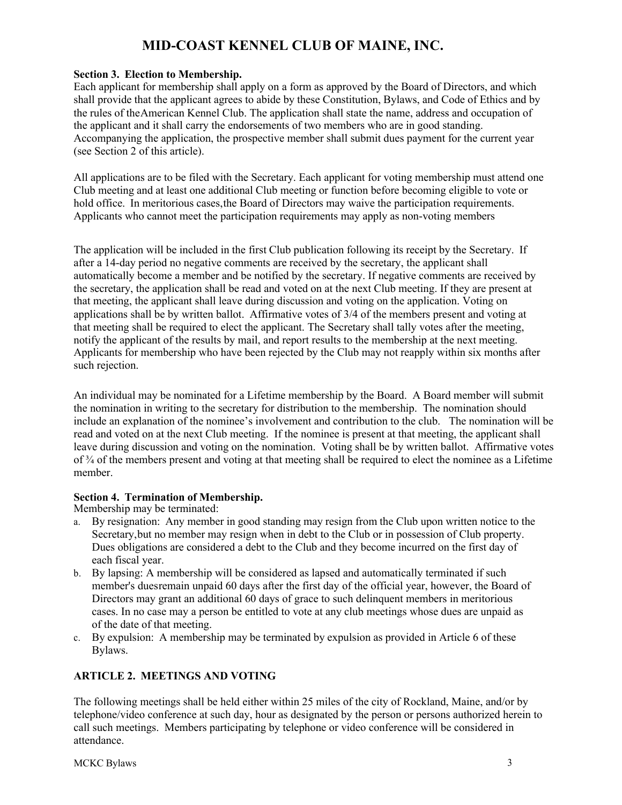### **Section 3. Election to Membership.**

Each applicant for membership shall apply on a form as approved by the Board of Directors, and which shall provide that the applicant agrees to abide by these Constitution, Bylaws, and Code of Ethics and by the rules of theAmerican Kennel Club. The application shall state the name, address and occupation of the applicant and it shall carry the endorsements of two members who are in good standing. Accompanying the application, the prospective member shall submit dues payment for the current year (see Section 2 of this article).

All applications are to be filed with the Secretary. Each applicant for voting membership must attend one Club meeting and at least one additional Club meeting or function before becoming eligible to vote or hold office. In meritorious cases,the Board of Directors may waive the participation requirements. Applicants who cannot meet the participation requirements may apply as non-voting members

The application will be included in the first Club publication following its receipt by the Secretary. If after a 14-day period no negative comments are received by the secretary, the applicant shall automatically become a member and be notified by the secretary. If negative comments are received by the secretary, the application shall be read and voted on at the next Club meeting. If they are present at that meeting, the applicant shall leave during discussion and voting on the application. Voting on applications shall be by written ballot. Affirmative votes of 3/4 of the members present and voting at that meeting shall be required to elect the applicant. The Secretary shall tally votes after the meeting, notify the applicant of the results by mail, and report results to the membership at the next meeting. Applicants for membership who have been rejected by the Club may not reapply within six months after such rejection.

An individual may be nominated for a Lifetime membership by the Board. A Board member will submit the nomination in writing to the secretary for distribution to the membership. The nomination should include an explanation of the nominee's involvement and contribution to the club. The nomination will be read and voted on at the next Club meeting. If the nominee is present at that meeting, the applicant shall leave during discussion and voting on the nomination. Voting shall be by written ballot. Affirmative votes of ¾ of the members present and voting at that meeting shall be required to elect the nominee as a Lifetime member.

# **Section 4. Termination of Membership.**

Membership may be terminated:

- a. By resignation: Any member in good standing may resign from the Club upon written notice to the Secretary,but no member may resign when in debt to the Club or in possession of Club property. Dues obligations are considered a debt to the Club and they become incurred on the first day of each fiscal year.
- b. By lapsing: A membership will be considered as lapsed and automatically terminated if such member's duesremain unpaid 60 days after the first day of the official year, however, the Board of Directors may grant an additional 60 days of grace to such delinquent members in meritorious cases. In no case may a person be entitled to vote at any club meetings whose dues are unpaid as of the date of that meeting.
- c. By expulsion: A membership may be terminated by expulsion as provided in Article 6 of these Bylaws.

# **ARTICLE 2. MEETINGS AND VOTING**

The following meetings shall be held either within 25 miles of the city of Rockland, Maine, and/or by telephone/video conference at such day, hour as designated by the person or persons authorized herein to call such meetings. Members participating by telephone or video conference will be considered in attendance.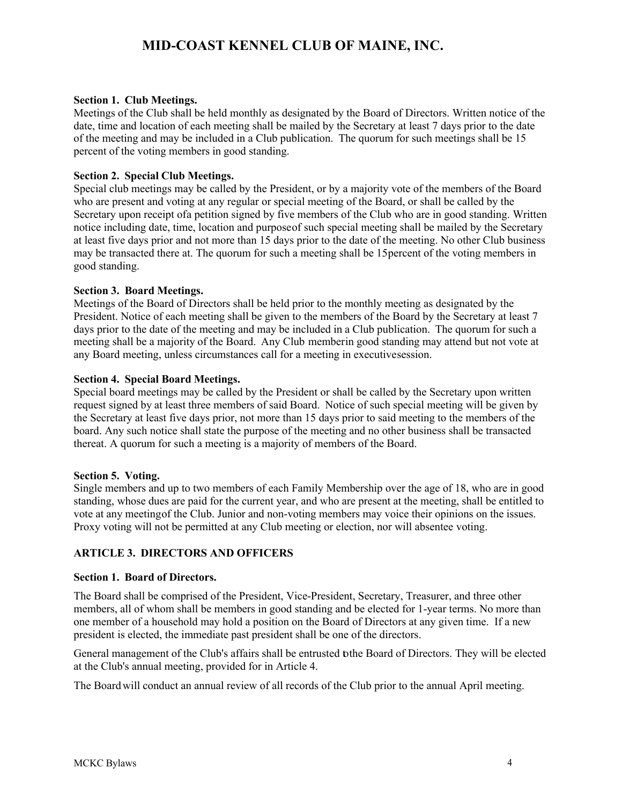#### **Section 1. Club Meetings.**

Meetings of the Club shall be held monthly as designated by the Board of Directors. Written notice of the date, time and location of each meeting shall be mailed by the Secretary at least 7 days prior to the date of the meeting and may be included in a Club publication. The quorum for such meetings shall be 15 percent of the voting members in good standing.

#### **Section 2. Special Club Meetings.**

Special club meetings may be called by the President, or by a majority vote of the members of the Board who are present and voting at any regular or special meeting of the Board, or shall be called by the Secretary upon receipt ofa petition signed by five members of the Club who are in good standing. Written notice including date, time, location and purposeof such special meeting shall be mailed by the Secretary at least five days prior and not more than 15 days prior to the date of the meeting. No other Club business may be transacted there at. The quorum for such a meeting shall be 15percent of the voting members in good standing.

#### **Section 3. Board Meetings.**

Meetings of the Board of Directors shall be held prior to the monthly meeting as designated by the President. Notice of each meeting shall be given to the members of the Board by the Secretary at least 7 days prior to the date of the meeting and may be included in a Club publication. The quorum for such a meeting shall be a majority of the Board. Any Club memberin good standing may attend but not vote at any Board meeting, unless circumstances call for a meeting in executivesession.

#### **Section 4. Special Board Meetings.**

Special board meetings may be called by the President or shall be called by the Secretary upon written request signed by at least three members of said Board. Notice of such special meeting will be given by the Secretary at least five days prior, not more than 15 days prior to said meeting to the members of the board. Any such notice shall state the purpose of the meeting and no other business shall be transacted thereat. A quorum for such a meeting is a majority of members of the Board.

#### **Section 5. Voting.**

Single members and up to two members of each Family Membership over the age of 18, who are in good standing, whose dues are paid for the current year, and who are present at the meeting, shall be entitled to vote at any meetingof the Club. Junior and non-voting members may voice their opinions on the issues. Proxy voting will not be permitted at any Club meeting or election, nor will absentee voting.

### **ARTICLE 3. DIRECTORS AND OFFICERS**

#### **Section 1. Board of Directors.**

The Board shall be comprised of the President, Vice-President, Secretary, Treasurer, and three other members, all of whom shall be members in good standing and be elected for 1-year terms. No more than one member of a household may hold a position on the Board of Directors at any given time. If a new president is elected, the immediate past president shall be one of the directors.

General management of the Club's affairs shall be entrusted tothe Board of Directors. They will be elected at the Club's annual meeting, provided for in Article 4.

The Board will conduct an annual review of all records of the Club prior to the annual April meeting.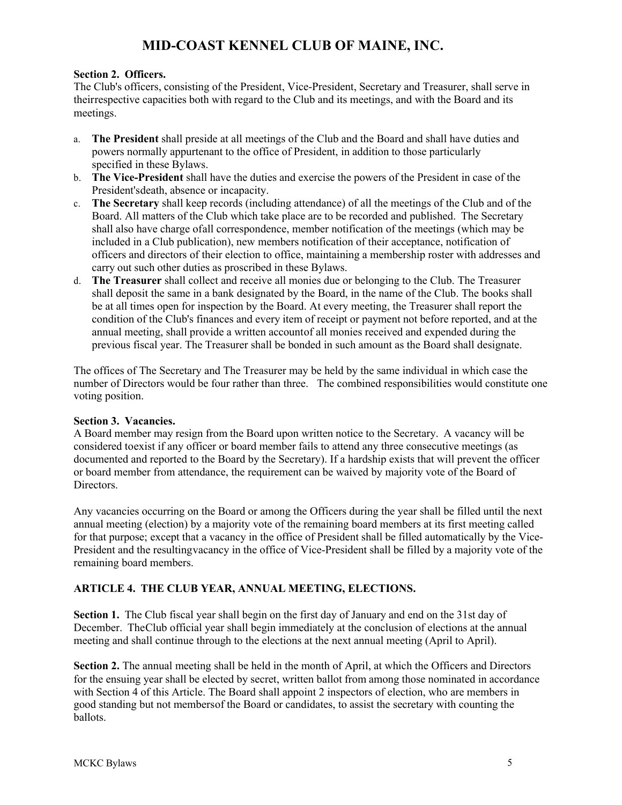### **Section 2. Officers.**

The Club's officers, consisting of the President, Vice-President, Secretary and Treasurer, shall serve in theirrespective capacities both with regard to the Club and its meetings, and with the Board and its meetings.

- a. **The President** shall preside at all meetings of the Club and the Board and shall have duties and powers normally appurtenant to the office of President, in addition to those particularly specified in these Bylaws.
- b. **The Vice-President** shall have the duties and exercise the powers of the President in case of the President'sdeath, absence or incapacity.
- c. **The Secretary** shall keep records (including attendance) of all the meetings of the Club and of the Board. All matters of the Club which take place are to be recorded and published. The Secretary shall also have charge ofall correspondence, member notification of the meetings (which may be included in a Club publication), new members notification of their acceptance, notification of officers and directors of their election to office, maintaining a membership roster with addresses and carry out such other duties as proscribed in these Bylaws.
- d. **The Treasurer** shall collect and receive all monies due or belonging to the Club. The Treasurer shall deposit the same in a bank designated by the Board, in the name of the Club. The books shall be at all times open for inspection by the Board. At every meeting, the Treasurer shall report the condition of the Club's finances and every item of receipt or payment not before reported, and at the annual meeting, shall provide a written accountof all monies received and expended during the previous fiscal year. The Treasurer shall be bonded in such amount as the Board shall designate.

The offices of The Secretary and The Treasurer may be held by the same individual in which case the number of Directors would be four rather than three. The combined responsibilities would constitute one voting position.

### **Section 3. Vacancies.**

A Board member may resign from the Board upon written notice to the Secretary. A vacancy will be considered toexist if any officer or board member fails to attend any three consecutive meetings (as documented and reported to the Board by the Secretary). If a hardship exists that will prevent the officer or board member from attendance, the requirement can be waived by majority vote of the Board of Directors.

Any vacancies occurring on the Board or among the Officers during the year shall be filled until the next annual meeting (election) by a majority vote of the remaining board members at its first meeting called for that purpose; except that a vacancy in the office of President shall be filled automatically by the Vice-President and the resultingvacancy in the office of Vice-President shall be filled by a majority vote of the remaining board members.

# **ARTICLE 4. THE CLUB YEAR, ANNUAL MEETING, ELECTIONS.**

**Section 1.** The Club fiscal year shall begin on the first day of January and end on the 31st day of December. TheClub official year shall begin immediately at the conclusion of elections at the annual meeting and shall continue through to the elections at the next annual meeting (April to April).

**Section 2.** The annual meeting shall be held in the month of April, at which the Officers and Directors for the ensuing year shall be elected by secret, written ballot from among those nominated in accordance with Section 4 of this Article. The Board shall appoint 2 inspectors of election, who are members in good standing but not membersof the Board or candidates, to assist the secretary with counting the ballots.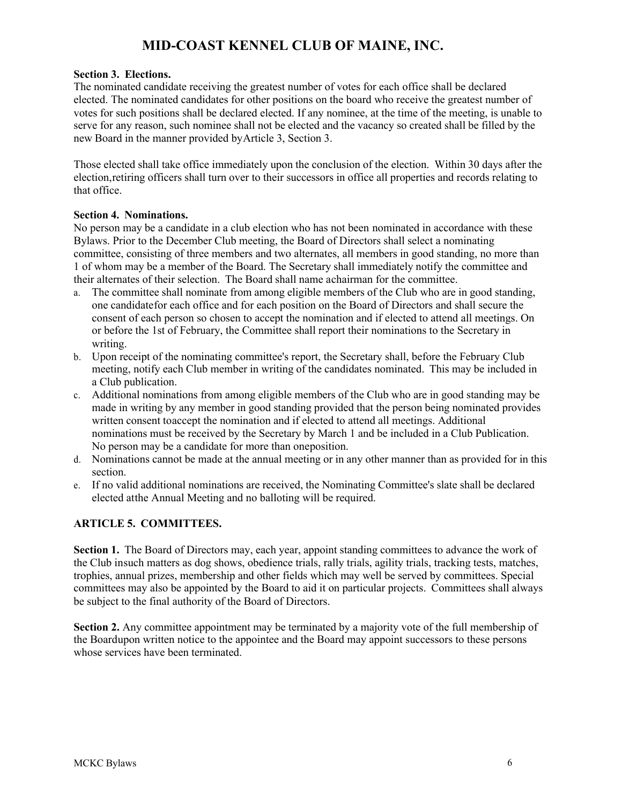### **Section 3. Elections.**

The nominated candidate receiving the greatest number of votes for each office shall be declared elected. The nominated candidates for other positions on the board who receive the greatest number of votes for such positions shall be declared elected. If any nominee, at the time of the meeting, is unable to serve for any reason, such nominee shall not be elected and the vacancy so created shall be filled by the new Board in the manner provided byArticle 3, Section 3.

Those elected shall take office immediately upon the conclusion of the election. Within 30 days after the election,retiring officers shall turn over to their successors in office all properties and records relating to that office.

### **Section 4. Nominations.**

No person may be a candidate in a club election who has not been nominated in accordance with these Bylaws. Prior to the December Club meeting, the Board of Directors shall select a nominating committee, consisting of three members and two alternates, all members in good standing, no more than 1 of whom may be a member of the Board. The Secretary shall immediately notify the committee and their alternates of their selection. The Board shall name achairman for the committee.

- a. The committee shall nominate from among eligible members of the Club who are in good standing, one candidatefor each office and for each position on the Board of Directors and shall secure the consent of each person so chosen to accept the nomination and if elected to attend all meetings. On or before the 1st of February, the Committee shall report their nominations to the Secretary in writing.
- b. Upon receipt of the nominating committee's report, the Secretary shall, before the February Club meeting, notify each Club member in writing of the candidates nominated. This may be included in a Club publication.
- c. Additional nominations from among eligible members of the Club who are in good standing may be made in writing by any member in good standing provided that the person being nominated provides written consent toaccept the nomination and if elected to attend all meetings. Additional nominations must be received by the Secretary by March 1 and be included in a Club Publication. No person may be a candidate for more than oneposition.
- d. Nominations cannot be made at the annual meeting or in any other manner than as provided for in this section.
- e. If no valid additional nominations are received, the Nominating Committee's slate shall be declared elected atthe Annual Meeting and no balloting will be required.

# **ARTICLE 5. COMMITTEES.**

**Section 1.** The Board of Directors may, each year, appoint standing committees to advance the work of the Club insuch matters as dog shows, obedience trials, rally trials, agility trials, tracking tests, matches, trophies, annual prizes, membership and other fields which may well be served by committees. Special committees may also be appointed by the Board to aid it on particular projects. Committees shall always be subject to the final authority of the Board of Directors.

**Section 2.** Any committee appointment may be terminated by a majority vote of the full membership of the Boardupon written notice to the appointee and the Board may appoint successors to these persons whose services have been terminated.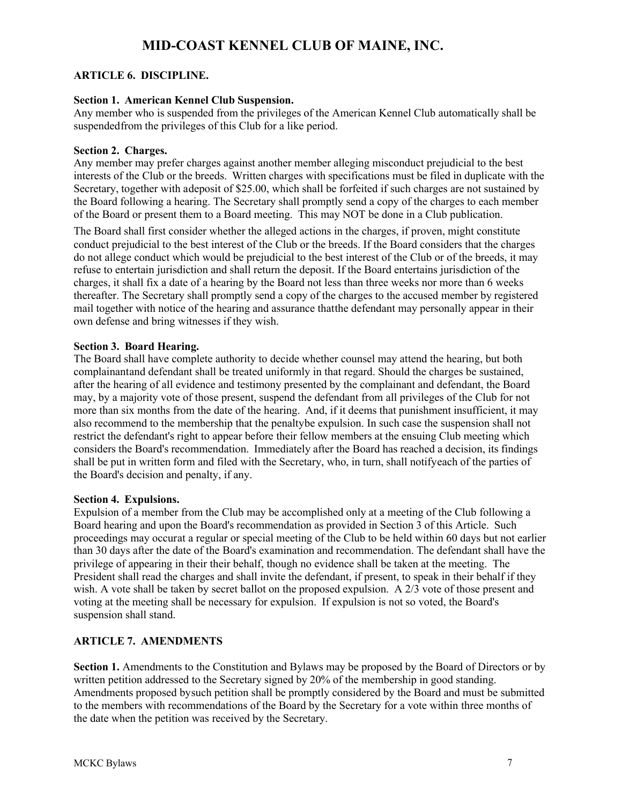# **ARTICLE 6. DISCIPLINE.**

### **Section 1. American Kennel Club Suspension.**

Any member who is suspended from the privileges of the American Kennel Club automatically shall be suspendedfrom the privileges of this Club for a like period.

#### **Section 2. Charges.**

Any member may prefer charges against another member alleging misconduct prejudicial to the best interests of the Club or the breeds. Written charges with specifications must be filed in duplicate with the Secretary, together with adeposit of \$25.00, which shall be forfeited if such charges are not sustained by the Board following a hearing. The Secretary shall promptly send a copy of the charges to each member of the Board or present them to a Board meeting. This may NOT be done in a Club publication.

The Board shall first consider whether the alleged actions in the charges, if proven, might constitute conduct prejudicial to the best interest of the Club or the breeds. If the Board considers that the charges do not allege conduct which would be prejudicial to the best interest of the Club or of the breeds, it may refuse to entertain jurisdiction and shall return the deposit. If the Board entertains jurisdiction of the charges, it shall fix a date of a hearing by the Board not less than three weeks nor more than 6 weeks thereafter. The Secretary shall promptly send a copy of the charges to the accused member by registered mail together with notice of the hearing and assurance thatthe defendant may personally appear in their own defense and bring witnesses if they wish.

### **Section 3. Board Hearing.**

The Board shall have complete authority to decide whether counsel may attend the hearing, but both complainantand defendant shall be treated uniformly in that regard. Should the charges be sustained, after the hearing of all evidence and testimony presented by the complainant and defendant, the Board may, by a majority vote of those present, suspend the defendant from all privileges of the Club for not more than six months from the date of the hearing. And, if it deems that punishment insufficient, it may also recommend to the membership that the penaltybe expulsion. In such case the suspension shall not restrict the defendant's right to appear before their fellow members at the ensuing Club meeting which considers the Board's recommendation. Immediately after the Board has reached a decision, its findings shall be put in written form and filed with the Secretary, who, in turn, shall notifyeach of the parties of the Board's decision and penalty, if any.

#### **Section 4. Expulsions.**

Expulsion of a member from the Club may be accomplished only at a meeting of the Club following a Board hearing and upon the Board's recommendation as provided in Section 3 of this Article. Such proceedings may occurat a regular or special meeting of the Club to be held within 60 days but not earlier than 30 days after the date of the Board's examination and recommendation. The defendant shall have the privilege of appearing in their their behalf, though no evidence shall be taken at the meeting. The President shall read the charges and shall invite the defendant, if present, to speak in their behalf if they wish. A vote shall be taken by secret ballot on the proposed expulsion. A 2/3 vote of those present and voting at the meeting shall be necessary for expulsion. If expulsion is not so voted, the Board's suspension shall stand.

### **ARTICLE 7. AMENDMENTS**

**Section 1.** Amendments to the Constitution and Bylaws may be proposed by the Board of Directors or by written petition addressed to the Secretary signed by 20% of the membership in good standing. Amendments proposed bysuch petition shall be promptly considered by the Board and must be submitted to the members with recommendations of the Board by the Secretary for a vote within three months of the date when the petition was received by the Secretary.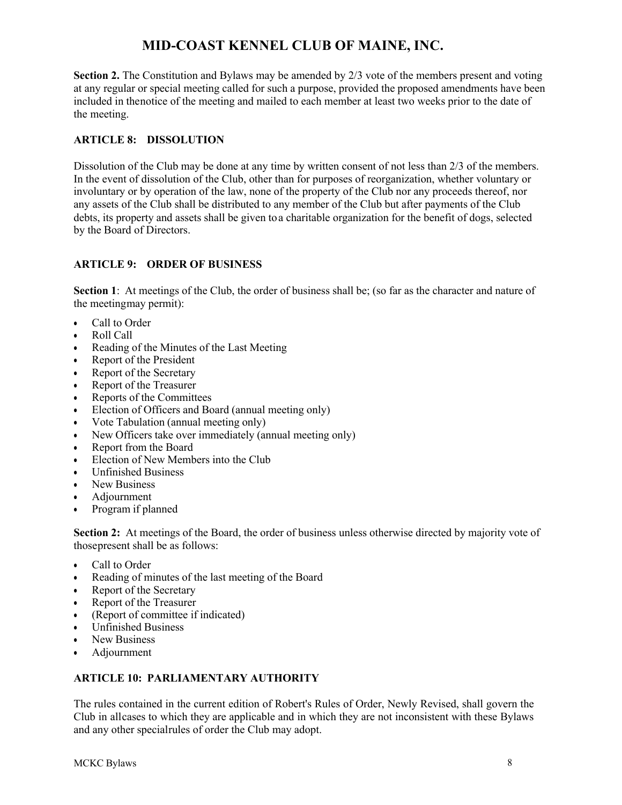**Section 2.** The Constitution and Bylaws may be amended by 2/3 vote of the members present and voting at any regular or special meeting called for such a purpose, provided the proposed amendments have been included in thenotice of the meeting and mailed to each member at least two weeks prior to the date of the meeting.

## **ARTICLE 8: DISSOLUTION**

Dissolution of the Club may be done at any time by written consent of not less than 2/3 of the members. In the event of dissolution of the Club, other than for purposes of reorganization, whether voluntary or involuntary or by operation of the law, none of the property of the Club nor any proceeds thereof, nor any assets of the Club shall be distributed to any member of the Club but after payments of the Club debts, its property and assets shall be given to a charitable organization for the benefit of dogs, selected by the Board of Directors.

### **ARTICLE 9: ORDER OF BUSINESS**

**Section 1:** At meetings of the Club, the order of business shall be; (so far as the character and nature of the meetingmay permit):

- Call to Order
- Roll Call
- Reading of the Minutes of the Last Meeting
- Report of the President
- Report of the Secretary
- Report of the Treasurer
- Reports of the Committees
- Election of Officers and Board (annual meeting only)
- Vote Tabulation (annual meeting only)
- New Officers take over immediately (annual meeting only)
- Report from the Board
- Election of New Members into the Club
- Unfinished Business
- New Business
- Adjournment
- Program if planned

**Section 2:** At meetings of the Board, the order of business unless otherwise directed by majority vote of thosepresent shall be as follows:

- Call to Order
- Reading of minutes of the last meeting of the Board
- Report of the Secretary
- Report of the Treasurer
- (Report of committee if indicated)
- Unfinished Business
- New Business
- Adjournment

### **ARTICLE 10: PARLIAMENTARY AUTHORITY**

The rules contained in the current edition of Robert's Rules of Order, Newly Revised, shall govern the Club in allcases to which they are applicable and in which they are not inconsistent with these Bylaws and any other specialrules of order the Club may adopt.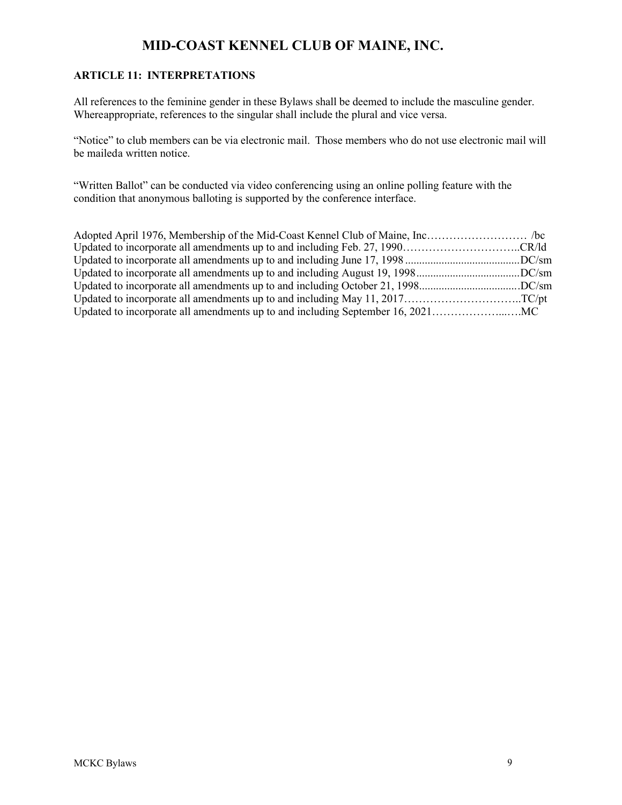# **ARTICLE 11: INTERPRETATIONS**

All references to the feminine gender in these Bylaws shall be deemed to include the masculine gender. Whereappropriate, references to the singular shall include the plural and vice versa.

"Notice" to club members can be via electronic mail. Those members who do not use electronic mail will be maileda written notice.

"Written Ballot" can be conducted via video conferencing using an online polling feature with the condition that anonymous balloting is supported by the conference interface.

| Updated to incorporate all amendments up to and including October 21, 1998DC/sm |  |
|---------------------------------------------------------------------------------|--|
| Updated to incorporate all amendments up to and including May 11, 2017TC/pt     |  |
|                                                                                 |  |